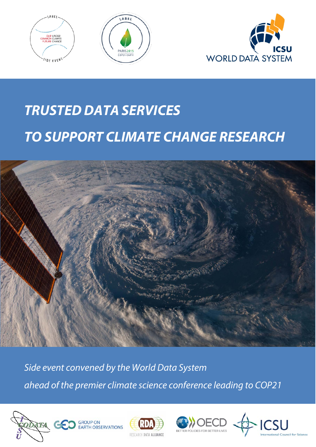





# *TRUSTED DATA SERVICES TO SUPPORT CLIMATE CHANGE RESEARCH*



*Side event convened by the World Data System ahead of the premier climate science conference leading to COP21*







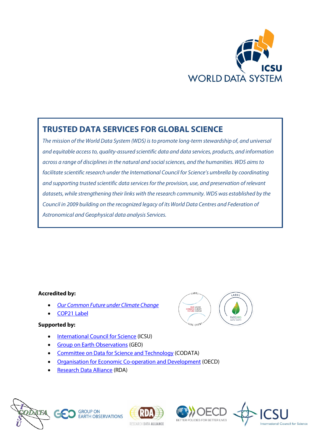

## **TRUSTED DATA SERVICES FOR GLOBAL SCIENCE**

*The mission of th[e World Data System](http://www.icsu-wds.org/) (WDS) is to promote long-term stewardship of, and universal and equitable access to, quality-assured scientific data and data services, products, and information across a range of disciplines in the natural and social sciences, and the humanities. WDS aims to facilitate scientific research under the [International Council for Science'](http://www.icsu.org/)s umbrella by coordinating and supporting trusted scientific data services for the provision, use, and preservation of relevant datasets, while strengthening their links with the research community. WDS was established by the Council in 2009 building on the recognized legacy of its World Data Centres and Federation of Astronomical and Geophysical data analysis Services.*

#### **Accredited by:**

- *[Our Common Future under Climate Change](http://www.commonfuture-paris2015.org/Programme/Side-Events/88-Trusted-data-services-to-support-climate-change-research.htm)*
- [COP21 Label](http://www.cop21.gouv.fr/en/civil-society/labelling-process-and-project-support?tag=All&title=)

#### **Supported by:**

- [International Council for Science](http://www.icsu.org/) (ICSU)
- [Group on Earth Observations](https://www.earthobservations.org/index.php) (GEO)
- [Committee on Data for Science and Technology](http://www.codata.org/) (CODATA)
- [Organisation for Economic Co-operation and Development](http://www.oecd.org/sti/) (OECD)
- [Research Data Alliance](http://www.rd-alliance.org/) (RDA)









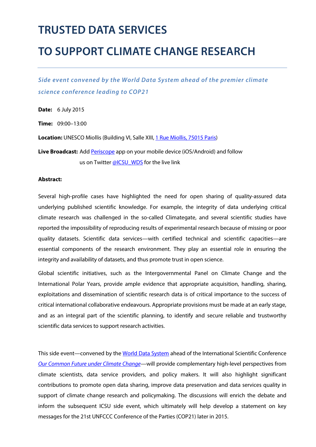# **TRUSTED DATA SERVICES**

# **TO SUPPORT CLIMATE CHANGE RESEARCH**

*Side event convened by the World Data System ahead of the premier climate science conference leading to COP21*

**Date:** 6 July 2015

**Time:** 09:00–13:00

Location: UNESCO Miollis (Building VI, Salle XIII, [1 Rue Miollis, 7501](https://www.google.co.jp/maps/place/1+Rue+Miollis,+75015+Paris,+France/@48.846156,2.305375,19z/data=!3m1!4b1!4m2!3m1!1s0x47e6703b46807119:0x8032f6c070b8f7f5?hl=en)5 Paris)

Live Broadcast: Add **Periscope** app on your mobile device (iOS/Android) and follow us on Twitter [@ICSU\\_WDS](https://twitter.com/ICSU_WDS) for the live link

#### **Abstract:**

Several high-profile cases have highlighted the need for open sharing of quality-assured data underlying published scientific knowledge. For example, the integrity of data underlying critical climate research was challenged in the so-called Climategate, and several scientific studies have reported the impossibility of reproducing results of experimental research because of missing or poor quality datasets. Scientific data services—with certified technical and scientific capacities—are essential components of the research environment. They play an essential role in ensuring the integrity and availability of datasets, and thus promote trust in open science.

Global scientific initiatives, such as the Intergovernmental Panel on Climate Change and the International Polar Years, provide ample evidence that appropriate acquisition, handling, sharing, exploitations and dissemination of scientific research data is of critical importance to the success of critical international collaborative endeavours. Appropriate provisions must be made at an early stage, and as an integral part of the scientific planning, to identify and secure reliable and trustworthy scientific data services to support research activities.

This side event—convened by the [World Data System](https://www.icsu-wds.org/) ahead of the International Scientific Conference *[Our Common Future under Climate Change](http://www.commonfuture-paris2015.org/)*—will provide complementary high-level perspectives from climate scientists, data service providers, and policy makers. It will also highlight significant contributions to promote open data sharing, improve data preservation and data services quality in support of climate change research and policymaking. The discussions will enrich the debate and inform the subsequent ICSU side event, which ultimately will help develop a statement on key messages for the 21st UNFCCC Conference of the Parties (COP21) later in 2015.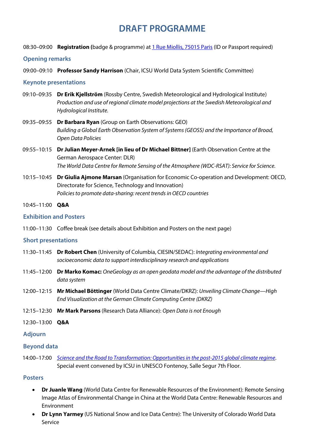## **DRAFT PROGRAMME**

08:30–09:00 **Registration (**badge & programme) at [1 Rue Miollis, 7501](https://www.google.co.jp/maps/place/1+Rue+Miollis,+75015+Paris,+France/@48.846156,2.305375,19z/data=!3m1!4b1!4m2!3m1!1s0x47e6703b46807119:0x8032f6c070b8f7f5?hl=en)5 Paris (ID or Passport required)

#### **Opening remarks**

09:00–09:10 **Professor Sandy Harrison** (Chair, ICSU World Data System Scientific Committee)

#### **Keynote presentations**

- 09:10–09:35 **Dr Erik Kjellström** (Rossby Centre, Swedish Meteorological and Hydrological Institute) *Production and use of regional climate model projections at the Swedish Meteorological and Hydrological Institute.*
- 09:35–09:55 **Dr Barbara Ryan** (Group on Earth Observations: GEO) *Building a Global Earth Observation System of Systems (GEOSS) and the Importance of Broad, Open Data Policies*
- 09:55–10:15 **Dr Julian Meyer-Arnek [in lieu of Dr Michael Bittner]** (Earth Observation Centre at the German Aerospace Center: DLR) *The World Data Centre for Remote Sensing of the Atmosphere (WDC-RSAT): Service for Science.*
- 10:15–10:45 **Dr Giulia Ajmone Marsan** (Organisation for Economic Co-operation and Development: OECD, Directorate for Science, Technology and Innovation) *Policies to promote data-sharing: recent trends in OECD countries*

#### 10:45–11:00 **Q&A**

#### **Exhibition and Posters**

11:00–11:30 Coffee break (see details about Exhibition and Posters on the next page)

#### **Short presentations**

- 11:30–11:45 **Dr Robert Chen** (University of Columbia, CIESIN/SEDAC): *Integrating environmental and socioeconomic data to support interdisciplinary research and applications*
- 11:45–12:00 **Dr Marko Komac:** *OneGeology as an open geodata model and the advantage of the distributed data system*
- 12:00–12:15 **Mr Michael Böttinger** (World Data Centre Climate/DKRZ): *Unveiling Climate Change—High End Visualization at the German Climate Computing Centre (DKRZ)*
- 12:15–12:30 **Mr Mark Parsons** (Research Data Alliance): *Open Data is not Enough*
- 12:30–13:00 **Q&A**

#### **Adjourn**

#### **Beyond data**

14:00–17:00 *[Science and the Road to Transformation: Opportunities in the post-2015 global climate regime](http://www.icsu.org/events/ICSU%20Events/science-and-the-road-to-transformation-opportunities-in-the-post-2015-global-climate-regime)*. Special event convened by ICSU in UNESCO Fontenoy, Salle Segur 7th Floor.

#### **Posters**

- **Dr Juanle Wang** (World Data Centre for Renewable Resources of the Environment): Remote Sensing Image Atlas of Environmental Change in China at the World Data Centre: Renewable Resources and Environment
- **Dr Lynn Yarmey** (US National Snow and Ice Data Centre): The University of Colorado World Data Service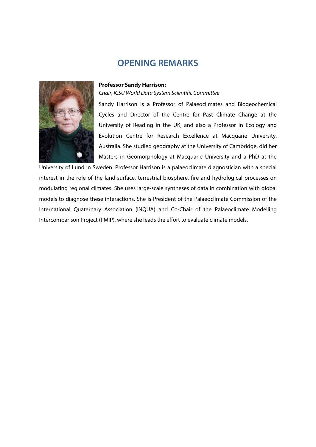## **OPENING REMARKS**



*Chair, ICSU World Data System Scientific Committee*



Sandy Harrison is a Professor of Palaeoclimates and Biogeochemical Cycles and Director of the Centre for Past Climate Change at the University of Reading in the UK, and also a Professor in Ecology and Evolution Centre for Research Excellence at Macquarie University, Australia. She studied geography at the University of Cambridge, did her Masters in Geomorphology at Macquarie University and a PhD at the

University of Lund in Sweden. Professor Harrison is a palaeoclimate diagnostician with a special interest in the role of the land-surface, terrestrial biosphere, fire and hydrological processes on modulating regional climates. She uses large-scale syntheses of data in combination with global models to diagnose these interactions. She is President of the Palaeoclimate Commission of the International Quaternary Association (INQUA) and Co-Chair of the Palaeoclimate Modelling Intercomparison Project (PMIP), where she leads the effort to evaluate climate models.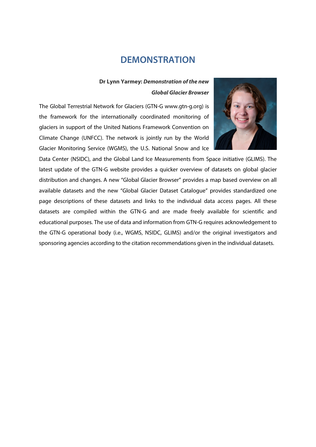## **DEMONSTRATION**

#### **Dr Lynn Yarmey:** *Demonstration of the new Global Glacier Browser*

The Global Terrestrial Network for Glaciers (GTN-G www.gtn-g.org) is the framework for the internationally coordinated monitoring of glaciers in support of the United Nations Framework Convention on Climate Change (UNFCC). The network is jointly run by the World Glacier Monitoring Service (WGMS), the U.S. National Snow and Ice



Data Center (NSIDC), and the Global Land Ice Measurements from Space initiative (GLIMS). The latest update of the GTN-G website provides a quicker overview of datasets on global glacier distribution and changes. A new "Global Glacier Browser" provides a map based overview on all available datasets and the new "Global Glacier Dataset Catalogue" provides standardized one page descriptions of these datasets and links to the individual data access pages. All these datasets are compiled within the GTN-G and are made freely available for scientific and educational purposes. The use of data and information from GTN-G requires acknowledgement to the GTN-G operational body (i.e., WGMS, NSIDC, GLIMS) and/or the original investigators and sponsoring agencies according to the citation recommendations given in the individual datasets.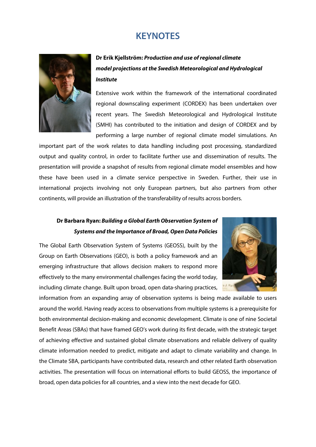## **KEYNOTES**



## **Dr Erik Kjellström:** *Production and use of regional climate model projections at the Swedish Meteorological and Hydrological Institute*

Extensive work within the framework of the international coordinated regional downscaling experiment (CORDEX) has been undertaken over recent years. The Swedish Meteorological and Hydrological Institute (SMHI) has contributed to the initiation and design of CORDEX and by performing a large number of regional climate model simulations. An

important part of the work relates to data handling including post processing, standardized output and quality control, in order to facilitate further use and dissemination of results. The presentation will provide a snapshot of results from regional climate model ensembles and how these have been used in a climate service perspective in Sweden. Further, their use in international projects involving not only European partners, but also partners from other continents, will provide an illustration of the transferability of results across borders.

## **Dr Barbara Ryan:** *Building a Global Earth Observation System of Systems and the Importance of Broad, Open Data Policies*

The Global Earth Observation System of Systems (GEOSS), built by the Group on Earth Observations (GEO), is both a policy framework and an emerging infrastructure that allows decision makers to respond more effectively to the many environmental challenges facing the world today, including climate change. Built upon broad, open data-sharing practices,



information from an expanding array of observation systems is being made available to users around the world. Having ready access to observations from multiple systems is a prerequisite for both environmental decision-making and economic development. Climate is one of nine Societal Benefit Areas (SBAs) that have framed GEO's work during its first decade, with the strategic target of achieving effective and sustained global climate observations and reliable delivery of quality climate information needed to predict, mitigate and adapt to climate variability and change. In the Climate SBA, participants have contributed data, research and other related Earth observation activities. The presentation will focus on international efforts to build GEOSS, the importance of broad, open data policies for all countries, and a view into the next decade for GEO.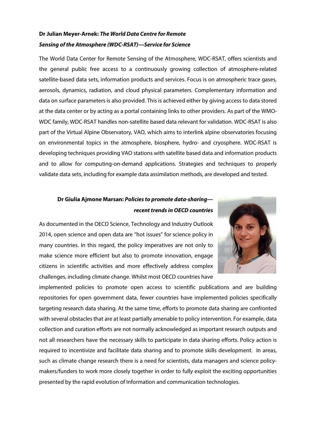## **Dr Julian Meyer-Arnek:** *The World Data Centre for Remote Sensing of the Atmosphere (WDC-RSAT)—Service for Science*

The World Data Center for Remote Sensing of the Atmosphere, WDC-RSAT, offers scientists and the general public free access to a continuously growing collection of atmosphere-related satellite-based data sets, information products and services. Focus is on atmospheric trace gases, aerosols, dynamics, radiation, and cloud physical parameters. Complementary information and data on surface parameters is also provided. This is achieved either by giving access to data stored at the data center or by acting as a portal containing links to other providers. As part of the WMO-WDC family, WDC-RSAT handles non-satellite based data relevant for validation. WDC-RSAT is also part of the Virtual Alpine Observatory, VAO, which aims to interlink alpine observatories focusing on environmental topics in the atmosphere, biosphere, hydro- and cryosphere. WDC-RSAT is developing techniques providing VAO stations with satellite based data and information products and to allow for computing-on-demand applications. Strategies and techniques to properly validate data sets, including for example data assimilation methods, are developed and tested.

## **Dr Giulia Ajmone Marsan:** *Policies to promote data-sharing recent trends in OECD countries*



As documented in the OECD Science, Technology and Industry Outlook 2014, open science and open data are "hot issues" for science policy in many countries. In this regard, the policy imperatives are not only to make science more efficient but also to promote innovation, engage citizens in scientific activities and more effectively address complex challenges, including climate change. Whilst most OECD countries have

implemented policies to promote open access to scientific publications and are building repositories for open government data, fewer countries have implemented policies specifically targeting research data sharing. At the same time, efforts to promote data sharing are confronted with several obstacles that are at least partially amenable to policy intervention. For example, data collection and curation efforts are not normally acknowledged as important research outputs and not all researchers have the necessary skills to participate in data sharing efforts. Policy action is required to incentivize and facilitate data sharing and to promote skills development. In areas, such as climate change research there is a need for scientists, data managers and science policymakers/funders to work more closely together in order to fully exploit the exciting opportunities presented by the rapid evolution of Information and communication technologies.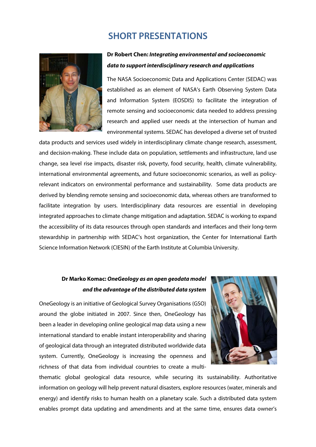## **SHORT PRESENTATIONS**



### **Dr Robert Chen:** *Integrating environmental and socioeconomic data to support interdisciplinary research and applications*

The NASA Socioeconomic Data and Applications Center (SEDAC) was established as an element of NASA's Earth Observing System Data and Information System (EOSDIS) to facilitate the integration of remote sensing and socioeconomic data needed to address pressing research and applied user needs at the intersection of human and environmental systems. SEDAC has developed a diverse set of trusted

data products and services used widely in interdisciplinary climate change research, assessment, and decision-making. These include data on population, settlements and infrastructure, land use change, sea level rise impacts, disaster risk, poverty, food security, health, climate vulnerability, international environmental agreements, and future socioeconomic scenarios, as well as policyrelevant indicators on environmental performance and sustainability. Some data products are derived by blending remote sensing and socioeconomic data, whereas others are transformed to facilitate integration by users. Interdisciplinary data resources are essential in developing integrated approaches to climate change mitigation and adaptation. SEDAC is working to expand the accessibility of its data resources through open standards and interfaces and their long-term stewardship in partnership with SEDAC's host organization, the Center for International Earth Science Information Network (CIESIN) of the Earth Institute at Columbia University.

## **Dr Marko Komac:** *OneGeology as an open geodata model and the advantage of the distributed data system*

OneGeology is an initiative of Geological Survey Organisations (GSO) around the globe initiated in 2007. Since then, OneGeology has been a leader in developing online geological map data using a new international standard to enable instant interoperability and sharing of geological data through an integrated distributed worldwide data system. Currently, OneGeology is increasing the openness and richness of that data from individual countries to create a multi-



thematic global geological data resource, while securing its sustainability. Authoritative information on geology will help prevent natural disasters, explore resources (water, minerals and energy) and identify risks to human health on a planetary scale. Such a distributed data system enables prompt data updating and amendments and at the same time, ensures data owner's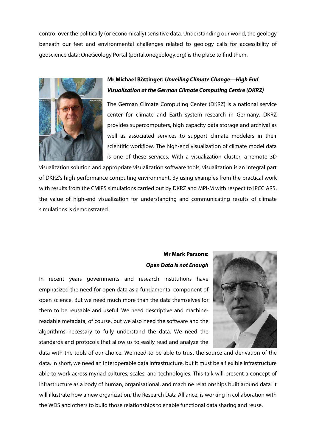control over the politically (or economically) sensitive data. Understanding our world, the geology beneath our feet and environmental challenges related to geology calls for accessibility of geoscience data: OneGeology Portal (portal.onegeology.org) is the place to find them.



## **Mr Michael Böttinger:** *Unveiling Climate Change—High End Visualization at the German Climate Computing Centre (DKRZ)*

The German Climate Computing Center (DKRZ) is a national service center for climate and Earth system research in Germany. DKRZ provides supercomputers, high capacity data storage and archival as well as associated services to support climate modelers in their scientific workflow. The high-end visualization of climate model data is one of these services. With a visualization cluster, a remote 3D

visualization solution and appropriate visualization software tools, visualization is an integral part of DKRZ's high performance computing environment. By using examples from the practical work with results from the CMIP5 simulations carried out by DKRZ and MPI-M with respect to IPCC AR5, the value of high-end visualization for understanding and communicating results of climate simulations is demonstrated.

## **Mr Mark Parsons:**  *Open Data is not Enough*

In recent years governments and research institutions have emphasized the need for open data as a fundamental component of open science. But we need much more than the data themselves for them to be reusable and useful. We need descriptive and machinereadable metadata, of course, but we also need the software and the algorithms necessary to fully understand the data. We need the standards and protocols that allow us to easily read and analyze the



data with the tools of our choice. We need to be able to trust the source and derivation of the data. In short, we need an interoperable data infrastructure, but it must be a flexible infrastructure able to work across myriad cultures, scales, and technologies. This talk will present a concept of infrastructure as a body of human, organisational, and machine relationships built around data. It will illustrate how a new organization, the Research Data Alliance, is working in collaboration with the WDS and others to build those relationships to enable functional data sharing and reuse.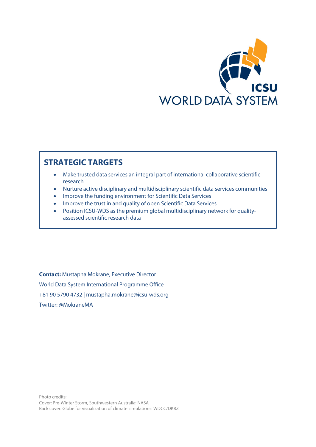

## **STRATEGIC TARGETS**

- Make trusted data services an integral part of international collaborative scientific research
- Nurture active disciplinary and multidisciplinary scientific data services communities
- Improve the funding environment for Scientific Data Services
- Improve the trust in and quality of open Scientific Data Services
- Position ICSU-WDS as the premium global multidisciplinary network for qualityassessed scientific research data

**Contact:** Mustapha Mokrane, Executive Director World Data System International Programme Office +81 90 5790 4732 | mustapha.mokrane@icsu-wds.org Twitter: @MokraneMA